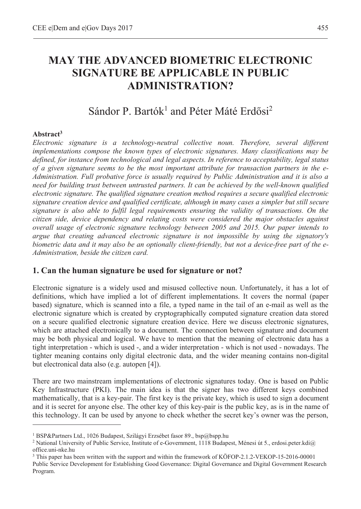# **MAY THE ADVANCED BIOMETRIC ELECTRONIC SIGNATURE BE APPLICABLE IN PUBLIC ADMINISTRATION?**

# Sándor P. Bartók<sup>1</sup> and Péter Máté Erdősi<sup>2</sup>

#### **Abstract3**

 $\overline{a}$ 

*Electronic signature is a technology-neutral collective noun. Therefore, several different implementations compose the known types of electronic signatures. Many classifications may be defined, for instance from technological and legal aspects. In reference to acceptability, legal status of a given signature seems to be the most important attribute for transaction partners in the e-Administration. Full probative force is usually required by Public Administration and it is also a need for building trust between untrusted partners. It can be achieved by the well-known qualified electronic signature. The qualified signature creation method requires a secure qualified electronic signature creation device and qualified certificate, although in many cases a simpler but still secure signature is also able to fulfil legal requirements ensuring the validity of transactions. On the citizen side, device dependency and relating costs were considered the major obstacles against overall usage of electronic signature technology between 2005 and 2015. Our paper intends to argue that creating advanced electronic signature is not impossible by using the signatory's biometric data and it may also be an optionally client-friendly, but not a device-free part of the e-Administration, beside the citizen card.* 

## **1. Can the human signature be used for signature or not?**

Electronic signature is a widely used and misused collective noun. Unfortunately, it has a lot of definitions, which have implied a lot of different implementations. It covers the normal (paper based) signature, which is scanned into a file, a typed name in the tail of an e-mail as well as the electronic signature which is created by cryptographically computed signature creation data stored on a secure qualified electronic signature creation device. Here we discuss electronic signatures, which are attached electronically to a document. The connection between signature and document may be both physical and logical. We have to mention that the meaning of electronic data has a tight interpretation - which is used -, and a wider interpretation - which is not used - nowadays. The tighter meaning contains only digital electronic data, and the wider meaning contains non-digital but electronical data also (e.g. autopen [4]).

There are two mainstream implementations of electronic signatures today. One is based on Public Key Infrastructure (PKI). The main idea is that the signer has two different keys combined mathematically, that is a key-pair. The first key is the private key, which is used to sign a document and it is secret for anyone else. The other key of this key-pair is the public key, as is in the name of this technology. It can be used by anyone to check whether the secret key's owner was the person,

<sup>&</sup>lt;sup>1</sup> BSP&Partners Ltd., 1026 Budapest, Szilágyi Erzsébet fasor 89., bsp@bspp.hu<br><sup>2</sup> National University of Public Service, Institute of e-Government, 1118 Budane

<sup>&</sup>lt;sup>2</sup> National University of Public Service, Institute of e-Government, 1118 Budapest, Ménesi út 5., erdosi.peter.kdi@ office.uni-nke.hu

<sup>3</sup> This paper has been written with the support and within the framework of KÖFOP-2.1.2-VEKOP-15-2016-00001 Public Service Development for Establishing Good Governance: Digital Governance and Digital Government Research Program.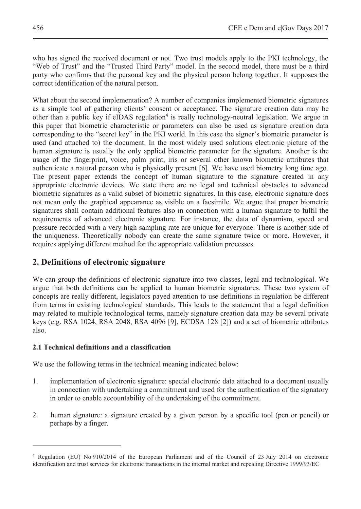who has signed the received document or not. Two trust models apply to the PKI technology, the "Web of Trust" and the "Trusted Third Party" model. In the second model, there must be a third party who confirms that the personal key and the physical person belong together. It supposes the correct identification of the natural person.

What about the second implementation? A number of companies implemented biometric signatures as a simple tool of gathering clients' consent or acceptance. The signature creation data may be other than a public key if eIDAS regulation<sup>4</sup> is really technology-neutral legislation. We argue in this paper that biometric characteristic or parameters can also be used as signature creation data corresponding to the "secret key" in the PKI world. In this case the signer's biometric parameter is used (and attached to) the document. In the most widely used solutions electronic picture of the human signature is usually the only applied biometric parameter for the signature. Another is the usage of the fingerprint, voice, palm print, iris or several other known biometric attributes that authenticate a natural person who is physically present [6]. We have used biometry long time ago. The present paper extends the concept of human signature to the signature created in any appropriate electronic devices. We state there are no legal and technical obstacles to advanced biometric signatures as a valid subset of biometric signatures. In this case, electronic signature does not mean only the graphical appearance as visible on a facsimile. We argue that proper biometric signatures shall contain additional features also in connection with a human signature to fulfil the requirements of advanced electronic signature. For instance, the data of dynamism, speed and pressure recorded with a very high sampling rate are unique for everyone. There is another side of the uniqueness. Theoretically nobody can create the same signature twice or more. However, it requires applying different method for the appropriate validation processes.

# **2. Definitions of electronic signature**

We can group the definitions of electronic signature into two classes, legal and technological. We argue that both definitions can be applied to human biometric signatures. These two system of concepts are really different, legislators payed attention to use definitions in regulation be different from terms in existing technological standards. This leads to the statement that a legal definition may related to multiple technological terms, namely signature creation data may be several private keys (e.g. RSA 1024, RSA 2048, RSA 4096 [9], ECDSA 128 [2]) and a set of biometric attributes also.

#### **2.1 Technical definitions and a classification**

 $\overline{a}$ 

We use the following terms in the technical meaning indicated below:

- 1. implementation of electronic signature: special electronic data attached to a document usually in connection with undertaking a commitment and used for the authentication of the signatory in order to enable accountability of the undertaking of the commitment.
- 2. human signature: a signature created by a given person by a specific tool (pen or pencil) or perhaps by a finger.

<sup>4</sup> Regulation (EU) No 910/2014 of the European Parliament and of the Council of 23 July 2014 on electronic identification and trust services for electronic transactions in the internal market and repealing Directive 1999/93/EC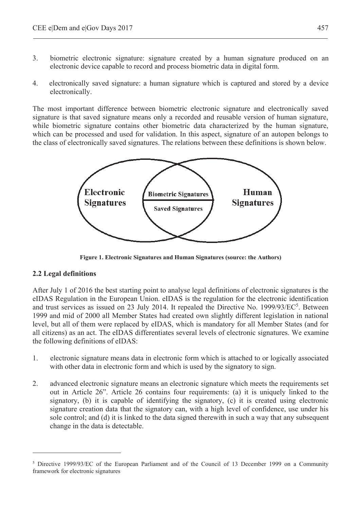- 3. biometric electronic signature: signature created by a human signature produced on an electronic device capable to record and process biometric data in digital form.
- 4. electronically saved signature: a human signature which is captured and stored by a device electronically.

The most important difference between biometric electronic signature and electronically saved signature is that saved signature means only a recorded and reusable version of human signature, while biometric signature contains other biometric data characterized by the human signature, which can be processed and used for validation. In this aspect, signature of an autopen belongs to the class of electronically saved signatures. The relations between these definitions is shown below.



**Figure 1. Electronic Signatures and Human Signatures (source: the Authors)** 

#### **2.2 Legal definitions**

 $\overline{a}$ 

After July 1 of 2016 the best starting point to analyse legal definitions of electronic signatures is the eIDAS Regulation in the European Union. eIDAS is the regulation for the electronic identification and trust services as issued on 23 July 2014. It repealed the Directive No. 1999/93/EC<sup>5</sup>. Between 1999 and mid of 2000 all Member States had created own slightly different legislation in national level, but all of them were replaced by eIDAS, which is mandatory for all Member States (and for all citizens) as an act. The eIDAS differentiates several levels of electronic signatures. We examine the following definitions of eIDAS:

- 1. electronic signature means data in electronic form which is attached to or logically associated with other data in electronic form and which is used by the signatory to sign.
- 2. advanced electronic signature means an electronic signature which meets the requirements set out in Article 26". Article 26 contains four requirements: (a) it is uniquely linked to the signatory, (b) it is capable of identifying the signatory, (c) it is created using electronic signature creation data that the signatory can, with a high level of confidence, use under his sole control; and (d) it is linked to the data signed therewith in such a way that any subsequent change in the data is detectable.

<sup>&</sup>lt;sup>5</sup> Directive 1999/93/EC of the European Parliament and of the Council of 13 December 1999 on a Community framework for electronic signatures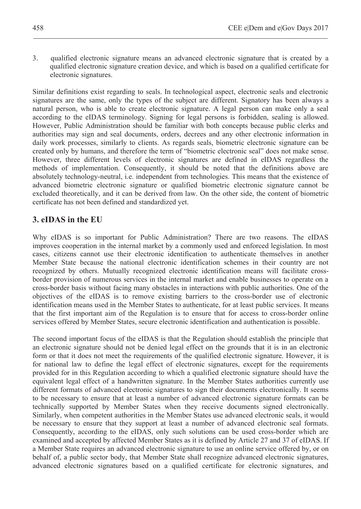3. qualified electronic signature means an advanced electronic signature that is created by a qualified electronic signature creation device, and which is based on a qualified certificate for electronic signatures.

Similar definitions exist regarding to seals. In technological aspect, electronic seals and electronic signatures are the same, only the types of the subject are different. Signatory has been always a natural person, who is able to create electronic signature. A legal person can make only a seal according to the eIDAS terminology. Signing for legal persons is forbidden, sealing is allowed. However, Public Administration should be familiar with both concepts because public clerks and authorities may sign and seal documents, orders, decrees and any other electronic information in daily work processes, similarly to clients. As regards seals, biometric electronic signature can be created only by humans, and therefore the term of "biometric electronic seal" does not make sense. However, three different levels of electronic signatures are defined in eIDAS regardless the methods of implementation. Consequently, it should be noted that the definitions above are absolutely technology-neutral, i.e. independent from technologies. This means that the existence of advanced biometric electronic signature or qualified biometric electronic signature cannot be excluded theoretically, and it can be derived from law. On the other side, the content of biometric certificate has not been defined and standardized yet.

# **3. eIDAS in the EU**

Why eIDAS is so important for Public Administration? There are two reasons. The eIDAS improves cooperation in the internal market by a commonly used and enforced legislation. In most cases, citizens cannot use their electronic identification to authenticate themselves in another Member State because the national electronic identification schemes in their country are not recognized by others. Mutually recognized electronic identification means will facilitate crossborder provision of numerous services in the internal market and enable businesses to operate on a cross-border basis without facing many obstacles in interactions with public authorities. One of the objectives of the eIDAS is to remove existing barriers to the cross-border use of electronic identification means used in the Member States to authenticate, for at least public services. It means that the first important aim of the Regulation is to ensure that for access to cross-border online services offered by Member States, secure electronic identification and authentication is possible.

The second important focus of the eIDAS is that the Regulation should establish the principle that an electronic signature should not be denied legal effect on the grounds that it is in an electronic form or that it does not meet the requirements of the qualified electronic signature. However, it is for national law to define the legal effect of electronic signatures, except for the requirements provided for in this Regulation according to which a qualified electronic signature should have the equivalent legal effect of a handwritten signature. In the Member States authorities currently use different formats of advanced electronic signatures to sign their documents electronically. It seems to be necessary to ensure that at least a number of advanced electronic signature formats can be technically supported by Member States when they receive documents signed electronically. Similarly, when competent authorities in the Member States use advanced electronic seals, it would be necessary to ensure that they support at least a number of advanced electronic seal formats. Consequently, according to the eIDAS, only such solutions can be used cross-border which are examined and accepted by affected Member States as it is defined by Article 27 and 37 of eIDAS. If a Member State requires an advanced electronic signature to use an online service offered by, or on behalf of, a public sector body, that Member State shall recognize advanced electronic signatures, advanced electronic signatures based on a qualified certificate for electronic signatures, and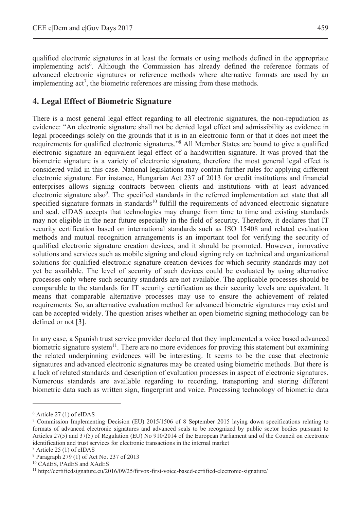qualified electronic signatures in at least the formats or using methods defined in the appropriate implementing acts<sup>6</sup>. Although the Commission has already defined the reference formats of advanced electronic signatures or reference methods where alternative formats are used by an implementing  $act^7$ , the biometric references are missing from these methods.

### **4. Legal Effect of Biometric Signature**

There is a most general legal effect regarding to all electronic signatures, the non-repudiation as evidence: "An electronic signature shall not be denied legal effect and admissibility as evidence in legal proceedings solely on the grounds that it is in an electronic form or that it does not meet the requirements for qualified electronic signatures."<sup>8</sup> All Member States are bound to give a qualified electronic signature an equivalent legal effect of a handwritten signature. It was proved that the biometric signature is a variety of electronic signature, therefore the most general legal effect is considered valid in this case. National legislations may contain further rules for applying different electronic signature. For instance, Hungarian Act 237 of 2013 for credit institutions and financial enterprises allows signing contracts between clients and institutions with at least advanced electronic signature also<sup>9</sup>. The specified standards in the referred implementation act state that all specified signature formats in standards<sup>10</sup> fulfill the requirements of advanced electronic signature and seal. eIDAS accepts that technologies may change from time to time and existing standards may not eligible in the near future especially in the field of security. Therefore, it declares that IT security certification based on international standards such as ISO 15408 and related evaluation methods and mutual recognition arrangements is an important tool for verifying the security of qualified electronic signature creation devices, and it should be promoted. However, innovative solutions and services such as mobile signing and cloud signing rely on technical and organizational solutions for qualified electronic signature creation devices for which security standards may not yet be available. The level of security of such devices could be evaluated by using alternative processes only where such security standards are not available. The applicable processes should be comparable to the standards for IT security certification as their security levels are equivalent. It means that comparable alternative processes may use to ensure the achievement of related requirements. So, an alternative evaluation method for advanced biometric signatures may exist and can be accepted widely. The question arises whether an open biometric signing methodology can be defined or not [3].

In any case, a Spanish trust service provider declared that they implemented a voice based advanced biometric signature system<sup>11</sup>. There are no more evidences for proving this statement but examining the related underpinning evidences will be interesting. It seems to be the case that electronic signatures and advanced electronic signatures may be created using biometric methods. But there is a lack of related standards and description of evaluation processes in aspect of electronic signatures. Numerous standards are available regarding to recording, transporting and storing different biometric data such as written sign, fingerprint and voice. Processing technology of biometric data

 $\overline{a}$ 

<sup>6</sup> Article 27 (1) of eIDAS

<sup>7</sup> Commission Implementing Decision (EU) 2015/1506 of 8 September 2015 laying down specifications relating to formats of advanced electronic signatures and advanced seals to be recognized by public sector bodies pursuant to Articles 27(5) and 37(5) of Regulation (EU) No 910/2014 of the European Parliament and of the Council on electronic identification and trust services for electronic transactions in the internal market

Article 25 (1) of eIDAS

<sup>9</sup> Paragraph 279 (1) of Act No. 237 of 2013

<sup>10</sup> CAdES, PAdES and XAdES

<sup>11</sup> http://certifiedsignature.eu/2016/09/25/firvox-first-voice-based-certified-electronic-signature/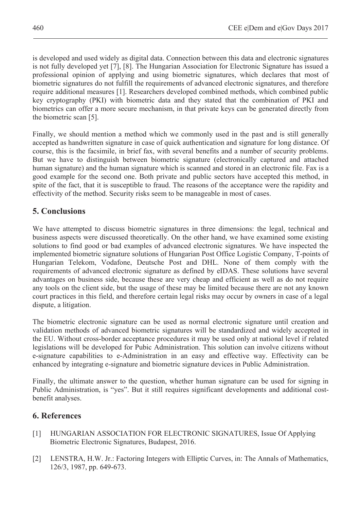is developed and used widely as digital data. Connection between this data and electronic signatures is not fully developed yet [7], [8]. The Hungarian Association for Electronic Signature has issued a professional opinion of applying and using biometric signatures, which declares that most of biometric signatures do not fulfill the requirements of advanced electronic signatures, and therefore require additional measures [1]. Researchers developed combined methods, which combined public key cryptography (PKI) with biometric data and they stated that the combination of PKI and biometrics can offer a more secure mechanism, in that private keys can be generated directly from the biometric scan [5].

Finally, we should mention a method which we commonly used in the past and is still generally accepted as handwritten signature in case of quick authentication and signature for long distance. Of course, this is the facsimile, in brief fax, with several benefits and a number of security problems. But we have to distinguish between biometric signature (electronically captured and attached human signature) and the human signature which is scanned and stored in an electronic file. Fax is a good example for the second one. Both private and public sectors have accepted this method, in spite of the fact, that it is susceptible to fraud. The reasons of the acceptance were the rapidity and effectivity of the method. Security risks seem to be manageable in most of cases.

# **5. Conclusions**

We have attempted to discuss biometric signatures in three dimensions: the legal, technical and business aspects were discussed theoretically. On the other hand, we have examined some existing solutions to find good or bad examples of advanced electronic signatures. We have inspected the implemented biometric signature solutions of Hungarian Post Office Logistic Company, T-points of Hungarian Telekom, Vodafone, Deutsche Post and DHL. None of them comply with the requirements of advanced electronic signature as defined by eIDAS. These solutions have several advantages on business side, because these are very cheap and efficient as well as do not require any tools on the client side, but the usage of these may be limited because there are not any known court practices in this field, and therefore certain legal risks may occur by owners in case of a legal dispute, a litigation.

The biometric electronic signature can be used as normal electronic signature until creation and validation methods of advanced biometric signatures will be standardized and widely accepted in the EU. Without cross-border acceptance procedures it may be used only at national level if related legislations will be developed for Pubic Administration. This solution can involve citizens without e-signature capabilities to e-Administration in an easy and effective way. Effectivity can be enhanced by integrating e-signature and biometric signature devices in Public Administration.

Finally, the ultimate answer to the question, whether human signature can be used for signing in Public Administration, is "yes". But it still requires significant developments and additional costbenefit analyses.

## **6. References**

- [1] HUNGARIAN ASSOCIATION FOR ELECTRONIC SIGNATURES, Issue Of Applying Biometric Electronic Signatures, Budapest, 2016.
- [2] LENSTRA, H.W. Jr.: Factoring Integers with Elliptic Curves, in: The Annals of Mathematics, 126/3, 1987, pp. 649-673.